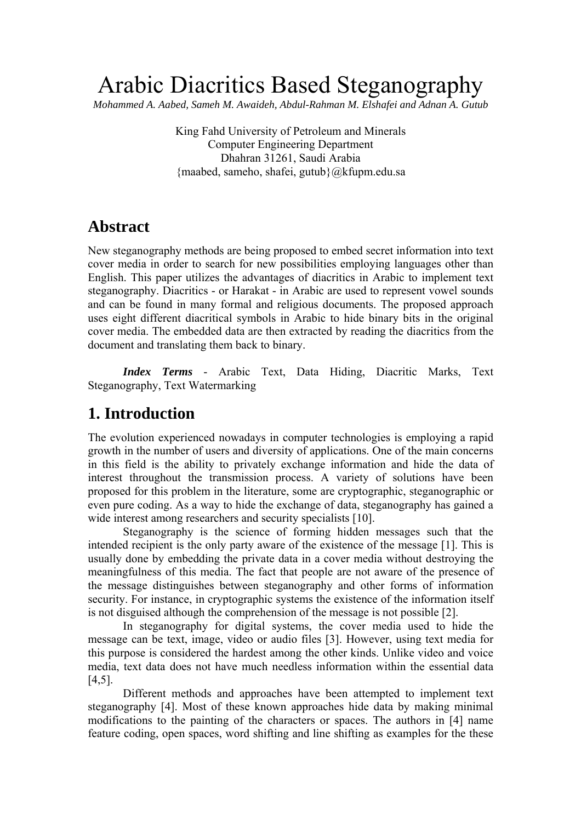# Arabic Diacritics Based Steganography

*Mohammed A. Aabed, Sameh M. Awaideh, Abdul-Rahman M. Elshafei and Adnan A. Gutub*

King Fahd University of Petroleum and Minerals Computer Engineering Department Dhahran 31261, Saudi Arabia {maabed, sameho, shafei, gutub}@kfupm.edu.sa

### **Abstract**

New steganography methods are being proposed to embed secret information into text cover media in order to search for new possibilities employing languages other than English. This paper utilizes the advantages of diacritics in Arabic to implement text steganography. Diacritics - or Harakat - in Arabic are used to represent vowel sounds and can be found in many formal and religious documents. The proposed approach uses eight different diacritical symbols in Arabic to hide binary bits in the original cover media. The embedded data are then extracted by reading the diacritics from the document and translating them back to binary.

*Index Terms* - Arabic Text, Data Hiding, Diacritic Marks, Text Steganography, Text Watermarking

### **1. Introduction**

The evolution experienced nowadays in computer technologies is employing a rapid growth in the number of users and diversity of applications. One of the main concerns in this field is the ability to privately exchange information and hide the data of interest throughout the transmission process. A variety of solutions have been proposed for this problem in the literature, some are cryptographic, steganographic or even pure coding. As a way to hide the exchange of data, steganography has gained a wide interest among researchers and security specialists [10].

Steganography is the science of forming hidden messages such that the intended recipient is the only party aware of the existence of the message [1]. This is usually done by embedding the private data in a cover media without destroying the meaningfulness of this media. The fact that people are not aware of the presence of the message distinguishes between steganography and other forms of information security. For instance, in cryptographic systems the existence of the information itself is not disguised although the comprehension of the message is not possible [2].

In steganography for digital systems, the cover media used to hide the message can be text, image, video or audio files [3]. However, using text media for this purpose is considered the hardest among the other kinds. Unlike video and voice media, text data does not have much needless information within the essential data [4,5].

Different methods and approaches have been attempted to implement text steganography [4]. Most of these known approaches hide data by making minimal modifications to the painting of the characters or spaces. The authors in [4] name feature coding, open spaces, word shifting and line shifting as examples for the these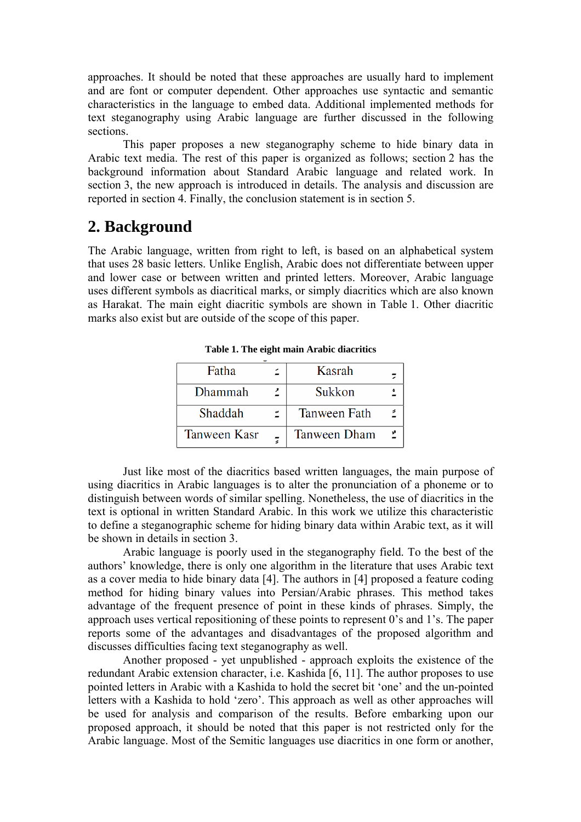approaches. It should be noted that these approaches are usually hard to implement and are font or computer dependent. Other approaches use syntactic and semantic characteristics in the language to embed data. Additional implemented methods for text steganography using Arabic language are further discussed in the following sections.

This paper proposes a new steganography scheme to hide binary data in Arabic text media. The rest of this paper is organized as follows; section 2 has the background information about Standard Arabic language and related work. In section 3, the new approach is introduced in details. The analysis and discussion are reported in section 4. Finally, the conclusion statement is in section 5.

### **2. Background**

The Arabic language, written from right to left, is based on an alphabetical system that uses 28 basic letters. Unlike English, Arabic does not differentiate between upper and lower case or between written and printed letters. Moreover, Arabic language uses different symbols as diacritical marks, or simply diacritics which are also known as Harakat. The main eight diacritic symbols are shown in Table 1. Other diacritic marks also exist but are outside of the scope of this paper.

| Fatha               | Kasrah              |  |
|---------------------|---------------------|--|
| Dhammah             | Sukkon              |  |
| Shaddah             | <b>Tanween Fath</b> |  |
| <b>Tanween Kasr</b> | <b>Tanween Dham</b> |  |

**Table 1. The eight main Arabic diacritics**

Just like most of the diacritics based written languages, the main purpose of using diacritics in Arabic languages is to alter the pronunciation of a phoneme or to distinguish between words of similar spelling. Nonetheless, the use of diacritics in the text is optional in written Standard Arabic. In this work we utilize this characteristic to define a steganographic scheme for hiding binary data within Arabic text, as it will be shown in details in section 3.

Arabic language is poorly used in the steganography field. To the best of the authors' knowledge, there is only one algorithm in the literature that uses Arabic text as a cover media to hide binary data [4]. The authors in [4] proposed a feature coding method for hiding binary values into Persian/Arabic phrases. This method takes advantage of the frequent presence of point in these kinds of phrases. Simply, the approach uses vertical repositioning of these points to represent 0's and 1's. The paper reports some of the advantages and disadvantages of the proposed algorithm and discusses difficulties facing text steganography as well.

Another proposed - yet unpublished - approach exploits the existence of the redundant Arabic extension character, i.e. Kashida [6, 11]. The author proposes to use pointed letters in Arabic with a Kashida to hold the secret bit 'one' and the un-pointed letters with a Kashida to hold 'zero'. This approach as well as other approaches will be used for analysis and comparison of the results. Before embarking upon our proposed approach, it should be noted that this paper is not restricted only for the Arabic language. Most of the Semitic languages use diacritics in one form or another,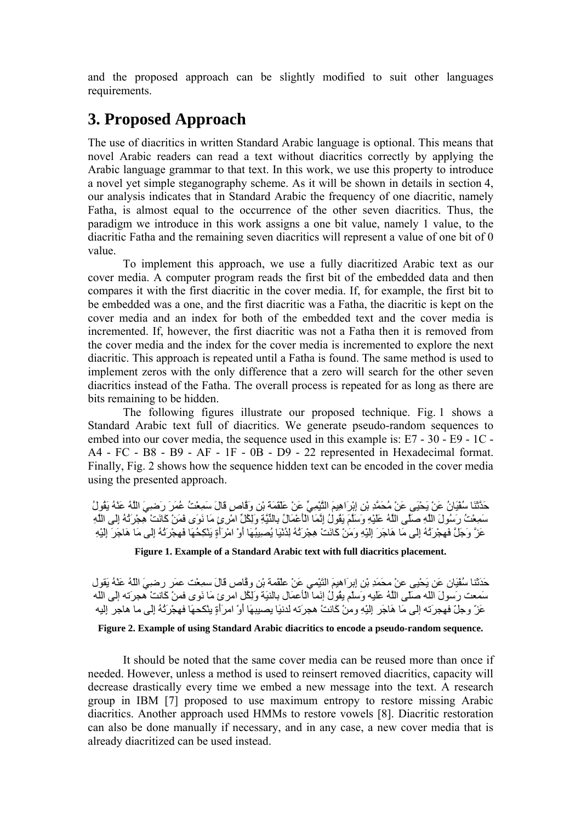and the proposed approach can be slightly modified to suit other languages requirements.

# **3. Proposed Approach**

The use of diacritics in written Standard Arabic language is optional. This means that novel Arabic readers can read a text without diacritics correctly by applying the Arabic language grammar to that text. In this work, we use this property to introduce a novel yet simple steganography scheme. As it will be shown in details in section 4, our analysis indicates that in Standard Arabic the frequency of one diacritic, namely Fatha, is almost equal to the occurrence of the other seven diacritics. Thus, the paradigm we introduce in this work assigns a one bit value, namely 1 value, to the diacritic Fatha and the remaining seven diacritics will represent a value of one bit of 0 value.

To implement this approach, we use a fully diacritized Arabic text as our cover media. A computer program reads the first bit of the embedded data and then compares it with the first diacritic in the cover media. If, for example, the first bit to be embedded was a one, and the first diacritic was a Fatha, the diacritic is kept on the cover media and an index for both of the embedded text and the cover media is incremented. If, however, the first diacritic was not a Fatha then it is removed from the cover media and the index for the cover media is incremented to explore the next diacritic. This approach is repeated until a Fatha is found. The same method is used to implement zeros with the only difference that a zero will search for the other seven diacritics instead of the Fatha. The overall process is repeated for as long as there are bits remaining to be hidden.

The following figures illustrate our proposed technique. Fig. 1 shows a Standard Arabic text full of diacritics. We generate pseudo-random sequences to embed into our cover media, the sequence used in this example is: E7 - 30 - E9 - 1C - A4 - FC - B8 - B9 - AF - 1F - 0B - D9 - 22 represented in Hexadecimal format. Finally, Fig. 2 shows how the sequence hidden text can be encoded in the cover media using the presented approach.

حَدَّثَنَا سُفْيَانُ عَنْ يَحْيَى عَنْ مُحَمَّدِ بْنِ إِبْرَاهِيمَ التَّيْمِيِّ عَنْ عَلْقَمَةَ بْنِ وَقَّاصٍ قَالَ سَمِعْتُ عُمَرَ رَضِيَ اللَّهُ عَنْهُ يَقُولُ سَمِعْتُ رَسُولَ اللَّهِ صَلَّى اللَّهُ عَلَيْهِ وَسَلَّمَ يَقُولُ إِنَّمَا الْأَعْمَالُ بِالنِّيَّةِ وَلِكُلِّ امْرِئٍ مَا نَوَى فَمَنْ آَانَتْ هِجْرَتُهُ إِلَى اللَّهِ عَزَّ وَجَلَّ فَهِجْرَتُهُ إِلَى مَا هَاجَرَ إِلَيْهِ وَمَنْ كَانَتْ هِجْرَتُهُ لِدُنْيَا يُصِيبُهَا أَوْ امْرَأَةٍ يَنْكِحُهَا فَهِجْرَتُهُ إِلَى مَا هَاجَرَ إِلَيْهِ

**Figure 1. Example of a Standard Arabic text with full diacritics placement.** 

حَدَثَنا سُفْيَان عَن يَحْيى عنْ محَمَدِ بْنِ إِبرَاهيمَ التَيْمي عَنْ علْقَمة بْنِ وقَّاص قَالَ سمِعْت عمَر رضِيَ اللّهُ عَنْهُ يَقول سَمعت رَسولَ اللَه صَلّى اللَّهُ عَلَيه وَسلّم يقُولُ إنَما الْأعمَال بالنيَة وَلِكُل امرئ مَا نَوى فمنْ آَانتْ هجرَته إلَى اللَه عَزّ وجلّ فهِجرَته إلى مَا هَاجَر إِليْهِ ومِنْ كَانتْ هجرَته لدنيَا يصيبهَا أَوْ امرَأَةٍ ينْكحهَا فهجْرَتُهُ إِلَى ما هاجر إِليه

#### **Figure 2. Example of using Standard Arabic diacritics to encode a pseudo-random sequence.**

It should be noted that the same cover media can be reused more than once if needed. However, unless a method is used to reinsert removed diacritics, capacity will decrease drastically every time we embed a new message into the text. A research group in IBM [7] proposed to use maximum entropy to restore missing Arabic diacritics. Another approach used HMMs to restore vowels [8]. Diacritic restoration can also be done manually if necessary, and in any case, a new cover media that is already diacritized can be used instead.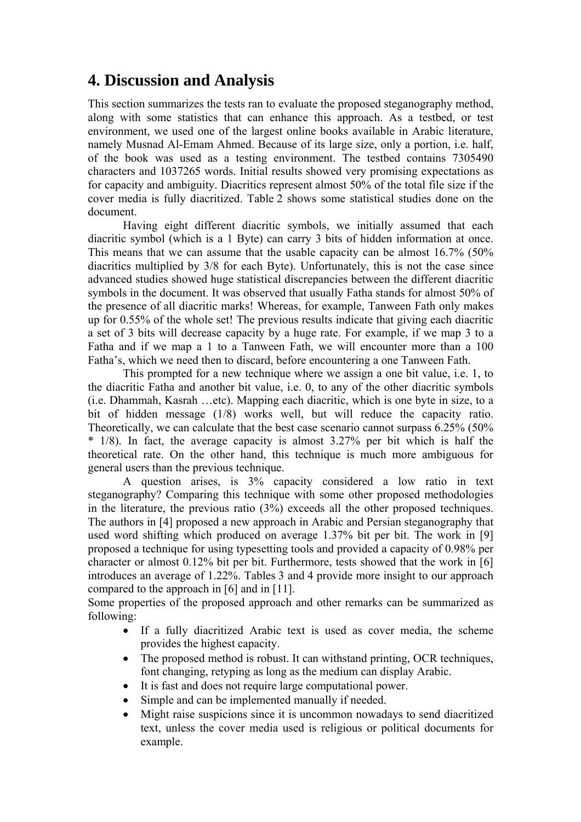### **4. Discussion and Analysis**

This section summarizes the tests ran to evaluate the proposed steganography method, along with some statistics that can enhance this approach. As a testbed, or test environment, we used one of the largest online books available in Arabic literature, namely Musnad Al-Emam Ahmed. Because of its large size, only a portion, i.e. half, of the book was used as a testing environment. The testbed contains 7305490 characters and 1037265 words. Initial results showed very promising expectations as for capacity and ambiguity. Diacritics represent almost 50% of the total file size if the cover media is fully diacritized. Table 2 shows some statistical studies done on the document.

Having eight different diacritic symbols, we initially assumed that each diacritic symbol (which is a 1 Byte) can carry 3 bits of hidden information at once. This means that we can assume that the usable capacity can be almost 16.7% (50% diacritics multiplied by 3/8 for each Byte). Unfortunately, this is not the case since advanced studies showed huge statistical discrepancies between the different diacritic symbols in the document. It was observed that usually Fatha stands for almost 50% of the presence of all diacritic marks! Whereas, for example, Tanween Fath only makes up for 0.55% of the whole set! The previous results indicate that giving each diacritic a set of 3 bits will decrease capacity by a huge rate. For example, if we map 3 to a Fatha and if we map a 1 to a Tanween Fath, we will encounter more than a 100 Fatha's, which we need then to discard, before encountering a one Tanween Fath.

This prompted for a new technique where we assign a one bit value, i.e. 1, to the diacritic Fatha and another bit value, i.e. 0, to any of the other diacritic symbols (i.e. Dhammah, Kasrah …etc). Mapping each diacritic, which is one byte in size, to a bit of hidden message (1/8) works well, but will reduce the capacity ratio. Theoretically, we can calculate that the best case scenario cannot surpass 6.25% (50% \* 1/8). In fact, the average capacity is almost 3.27% per bit which is half the theoretical rate. On the other hand, this technique is much more ambiguous for general users than the previous technique.

A question arises, is 3% capacity considered a low ratio in text steganography? Comparing this technique with some other proposed methodologies in the literature, the previous ratio (3%) exceeds all the other proposed techniques. The authors in [4] proposed a new approach in Arabic and Persian steganography that used word shifting which produced on average 1.37% bit per bit. The work in [9] proposed a technique for using typesetting tools and provided a capacity of 0.98% per character or almost 0.12% bit per bit. Furthermore, tests showed that the work in [6] introduces an average of 1.22%. Tables 3 and 4 provide more insight to our approach compared to the approach in [6] and in [11].

Some properties of the proposed approach and other remarks can be summarized as following:

- If a fully diacritized Arabic text is used as cover media, the scheme provides the highest capacity.
- The proposed method is robust. It can withstand printing, OCR techniques, font changing, retyping as long as the medium can display Arabic.
- It is fast and does not require large computational power.
- Simple and can be implemented manually if needed.
- Might raise suspicions since it is uncommon nowadays to send diacritized text, unless the cover media used is religious or political documents for example.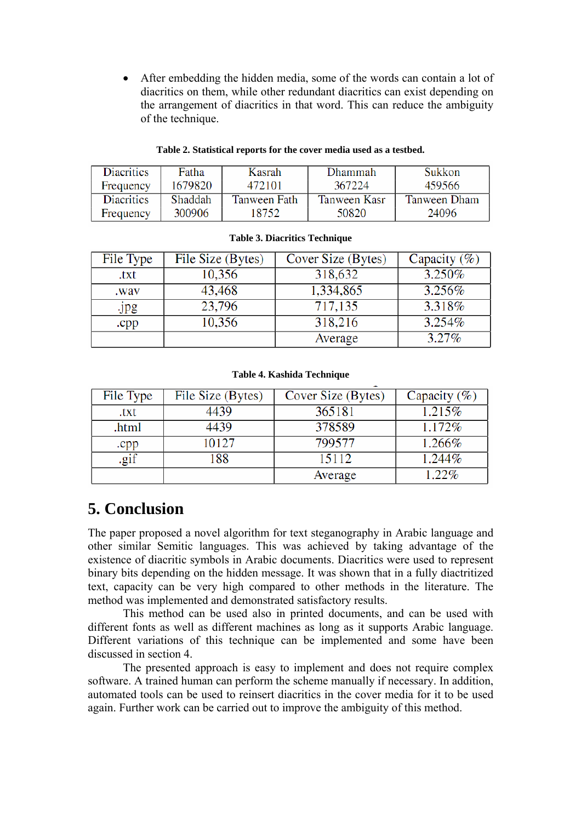• After embedding the hidden media, some of the words can contain a lot of diacritics on them, while other redundant diacritics can exist depending on the arrangement of diacritics in that word. This can reduce the ambiguity of the technique.

#### **Table 2. Statistical reports for the cover media used as a testbed.**

| Diacritics | Fatha   | Kasrah       | Dhammah      | Sukkon       |
|------------|---------|--------------|--------------|--------------|
| Frequency  | 1679820 | 472101       | 367224       | 459566       |
| Diacritics | Shaddah | Tanween Fath | Tanween Kasr | Tanween Dham |
| Frequency  | 300906  | 18752        | 50820        | 24096        |

| File Type | File Size (Bytes) | Cover Size (Bytes) | Capacity $(\% )$ |
|-----------|-------------------|--------------------|------------------|
| .txt      | 10,356            | 318,632            | 3.250%           |
| .wav      | 43,468            | 1,334,865          | $3.256\%$        |
| Jpg       | 23,796            | 717,135            | 3.318%           |
| .cpp      | 10,356            | 318,216            | $3.254\%$        |
|           |                   | Average            | $3.27\%$         |

#### **Table 3. Diacritics Technique**

#### **Table 4. Kashida Technique**

| File Type | File Size (Bytes) | Cover Size (Bytes) | Capacity $(\% )$ |
|-----------|-------------------|--------------------|------------------|
| .txt      | 4439              | 365181             | 1.215%           |
| .html     | 4439              | 378589             | 1.172\%          |
| .cpp      | 10127             | 799577             | 1.266%           |
| .gif      | 188               | 15112              | 1.244%           |
|           |                   | Average            | 1.22%            |

# **5. Conclusion**

The paper proposed a novel algorithm for text steganography in Arabic language and other similar Semitic languages. This was achieved by taking advantage of the existence of diacritic symbols in Arabic documents. Diacritics were used to represent binary bits depending on the hidden message. It was shown that in a fully diactritized text, capacity can be very high compared to other methods in the literature. The method was implemented and demonstrated satisfactory results.

This method can be used also in printed documents, and can be used with different fonts as well as different machines as long as it supports Arabic language. Different variations of this technique can be implemented and some have been discussed in section 4.

The presented approach is easy to implement and does not require complex software. A trained human can perform the scheme manually if necessary. In addition, automated tools can be used to reinsert diacritics in the cover media for it to be used again. Further work can be carried out to improve the ambiguity of this method.